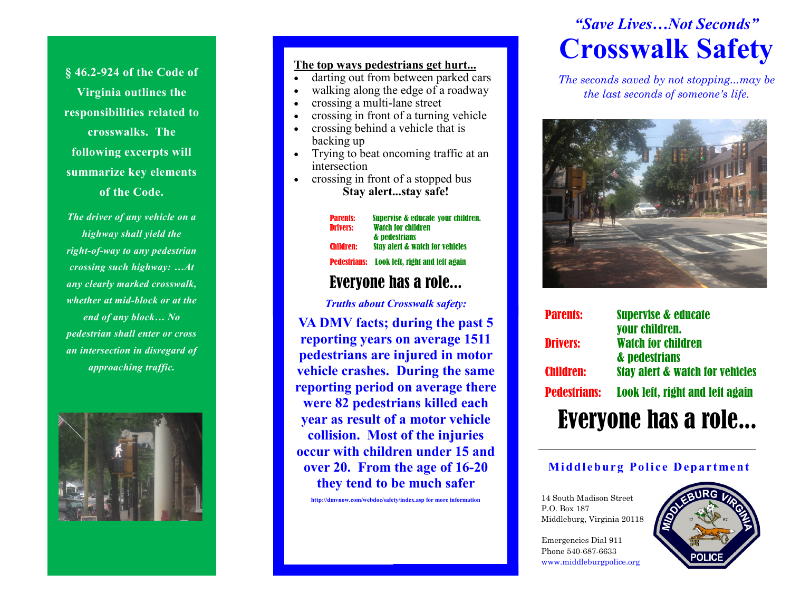**§ 46.2-924 of the Code of Virginia outlines the responsibilities related to crosswalks. The following excerpts will summarize key elements of the Code.** 

*The driver of any vehicle on a highway shall yield the right-of-way to any pedestrian crossing such highway: …At any clearly marked crosswalk, whether at mid-block or at the end of any block… No pedestrian shall enter or cross an intersection in disregard of approaching traffic.*



#### **The top ways pedestrians get hurt...**

- darting out from between parked cars
- walking along the edge of a roadway
- crossing a multi-lane street
- crossing in front of a turning vehicle
- crossing behind a vehicle that is backing up
- Trying to beat oncoming traffic at an intersection
- crossing in front of a stopped bus **Stay alert...stay safe!**

Parents: Supervise & educate your children. Drivers: Watch for children & pedestrians Children: Stay alert & watch for vehicles Pedestrians: Look left, right and left again

### Everyone has a role...

*Truths about Crosswalk safety:* 

**VA DMV facts; during the past 5 reporting years on average 1511 pedestrians are injured in motor vehicle crashes. During the same reporting period on average there were 82 pedestrians killed each year as result of a motor vehicle collision. Most of the injuries occur with children under 15 and over 20. From the age of 16-20 they tend to be much safer**

**http://dmvnow.com/webdoc/safety/index.asp for more information**

# *"Save Lives…Not Seconds"* **Crosswalk Safety**

*The seconds saved by not stopping...may be the last seconds of someone's life.*



| <b>Parents:</b>            | <b>Supervise &amp; educate</b>              |
|----------------------------|---------------------------------------------|
| <b>Drivers:</b>            | your children.<br><b>Watch for children</b> |
|                            | & pedestrians                               |
| <b>Children:</b>           | <b>Stay alert &amp; watch for vehicles</b>  |
| <b>Pedestrians:</b>        | Look left, right and left again             |
| <b>Evervone has a role</b> |                                             |

#### **Middleburg Police Department**

14 South Madison Street P.O. Box 187 Middleburg, Virginia 20118

Emergencies Dial 911 Phone 540-687-6633 www.middleburgpolice.org